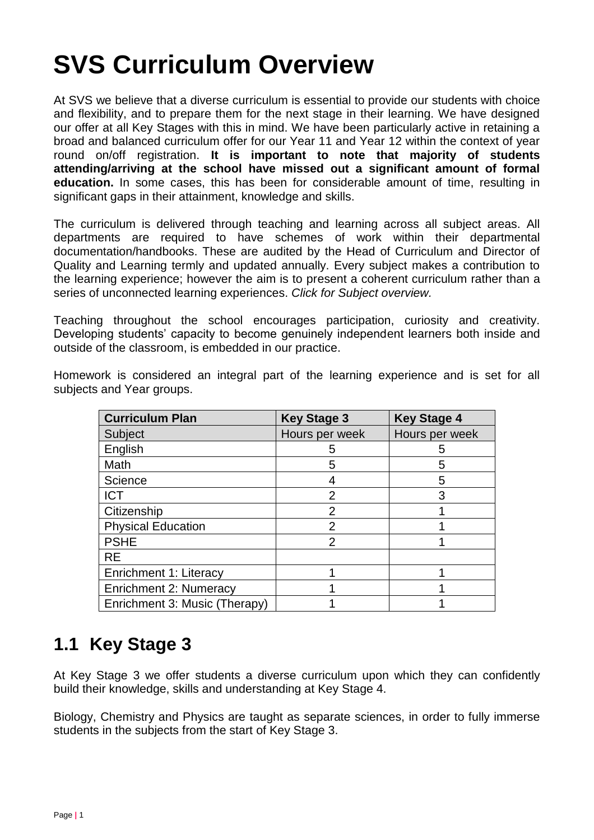# **SVS Curriculum Overview**

At SVS we believe that a diverse curriculum is essential to provide our students with choice and flexibility, and to prepare them for the next stage in their learning. We have designed our offer at all Key Stages with this in mind. We have been particularly active in retaining a broad and balanced curriculum offer for our Year 11 and Year 12 within the context of year round on/off registration. **It is important to note that majority of students attending/arriving at the school have missed out a significant amount of formal education.** In some cases, this has been for considerable amount of time, resulting in significant gaps in their attainment, knowledge and skills.

The curriculum is delivered through teaching and learning across all subject areas. All departments are required to have schemes of work within their departmental documentation/handbooks. These are audited by the Head of Curriculum and Director of Quality and Learning termly and updated annually. Every subject makes a contribution to the learning experience; however the aim is to present a coherent curriculum rather than a series of unconnected learning experiences. *Click for Subject overview.*

Teaching throughout the school encourages participation, curiosity and creativity. Developing students' capacity to become genuinely independent learners both inside and outside of the classroom, is embedded in our practice.

Homework is considered an integral part of the learning experience and is set for all subjects and Year groups.

| <b>Curriculum Plan</b>        | <b>Key Stage 3</b> | <b>Key Stage 4</b> |
|-------------------------------|--------------------|--------------------|
| Subject                       | Hours per week     | Hours per week     |
| English                       | 5                  | 5                  |
| Math                          | 5                  | 5                  |
| Science                       |                    | 5                  |
| <b>ICT</b>                    | $\overline{2}$     | 3                  |
| Citizenship                   | $\overline{2}$     |                    |
| <b>Physical Education</b>     | 2                  |                    |
| <b>PSHE</b>                   | $\overline{2}$     |                    |
| <b>RE</b>                     |                    |                    |
| Enrichment 1: Literacy        |                    |                    |
| <b>Enrichment 2: Numeracy</b> |                    |                    |
| Enrichment 3: Music (Therapy) |                    |                    |

### **1.1 Key Stage 3**

At Key Stage 3 we offer students a diverse curriculum upon which they can confidently build their knowledge, skills and understanding at Key Stage 4.

Biology, Chemistry and Physics are taught as separate sciences, in order to fully immerse students in the subjects from the start of Key Stage 3.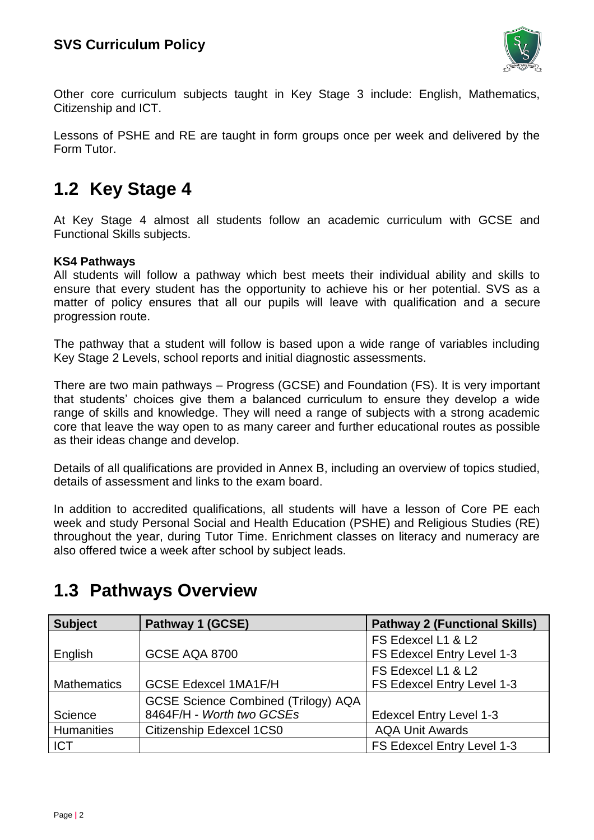

Other core curriculum subjects taught in Key Stage 3 include: English, Mathematics, Citizenship and ICT.

Lessons of PSHE and RE are taught in form groups once per week and delivered by the Form Tutor.

#### **1.2 Key Stage 4**

At Key Stage 4 almost all students follow an academic curriculum with GCSE and Functional Skills subjects.

#### **KS4 Pathways**

All students will follow a pathway which best meets their individual ability and skills to ensure that every student has the opportunity to achieve his or her potential. SVS as a matter of policy ensures that all our pupils will leave with qualification and a secure progression route.

The pathway that a student will follow is based upon a wide range of variables including Key Stage 2 Levels, school reports and initial diagnostic assessments.

There are two main pathways – Progress (GCSE) and Foundation (FS). It is very important that students' choices give them a balanced curriculum to ensure they develop a wide range of skills and knowledge. They will need a range of subjects with a strong academic core that leave the way open to as many career and further educational routes as possible as their ideas change and develop.

Details of all qualifications are provided in Annex B, including an overview of topics studied, details of assessment and links to the exam board.

In addition to accredited qualifications, all students will have a lesson of Core PE each week and study Personal Social and Health Education (PSHE) and Religious Studies (RE) throughout the year, during Tutor Time. Enrichment classes on literacy and numeracy are also offered twice a week after school by subject leads.

| <b>Subject</b>     | Pathway 1 (GCSE)                           | <b>Pathway 2 (Functional Skills)</b> |
|--------------------|--------------------------------------------|--------------------------------------|
|                    |                                            | FS Edexcel L1 & L2                   |
| English            | GCSE AQA 8700                              | FS Edexcel Entry Level 1-3           |
|                    |                                            | FS Edexcel L1 & L2                   |
| <b>Mathematics</b> | <b>GCSE Edexcel 1MA1F/H</b>                | FS Edexcel Entry Level 1-3           |
|                    | <b>GCSE Science Combined (Trilogy) AQA</b> |                                      |
| Science            | 8464F/H - Worth two GCSEs                  | <b>Edexcel Entry Level 1-3</b>       |
| Humanities         | Citizenship Edexcel 1CS0                   | <b>AQA Unit Awards</b>               |
| <b>ICT</b>         |                                            | FS Edexcel Entry Level 1-3           |

### **1.3 Pathways Overview**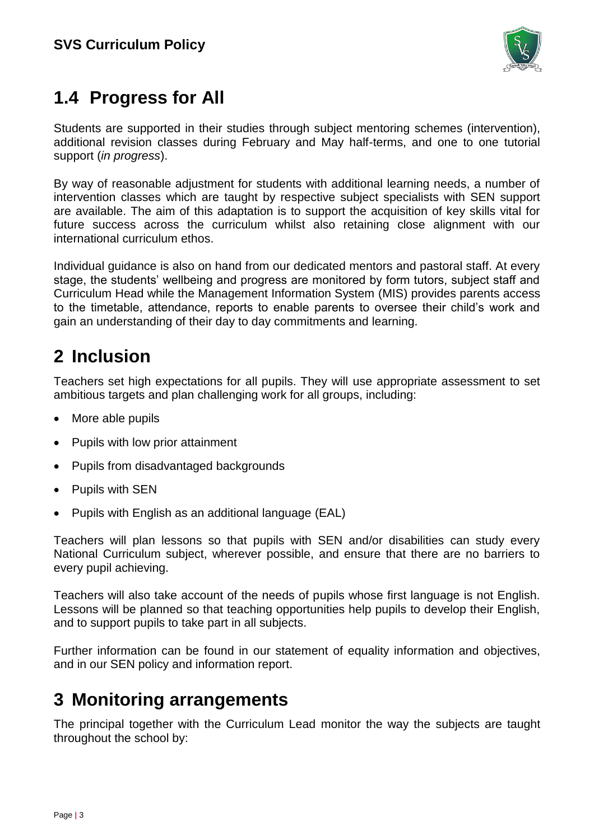

# **1.4 Progress for All**

Students are supported in their studies through subject mentoring schemes (intervention), additional revision classes during February and May half-terms, and one to one tutorial support (*in progress*).

By way of reasonable adjustment for students with additional learning needs, a number of intervention classes which are taught by respective subject specialists with SEN support are available. The aim of this adaptation is to support the acquisition of key skills vital for future success across the curriculum whilst also retaining close alignment with our international curriculum ethos.

Individual guidance is also on hand from our dedicated mentors and pastoral staff. At every stage, the students' wellbeing and progress are monitored by form tutors, subject staff and Curriculum Head while the Management Information System (MIS) provides parents access to the timetable, attendance, reports to enable parents to oversee their child's work and gain an understanding of their day to day commitments and learning.

## **2 Inclusion**

Teachers set high expectations for all pupils. They will use appropriate assessment to set ambitious targets and plan challenging work for all groups, including:

- More able pupils
- Pupils with low prior attainment
- Pupils from disadvantaged backgrounds
- Pupils with SEN
- Pupils with English as an additional language (EAL)

Teachers will plan lessons so that pupils with SEN and/or disabilities can study every National Curriculum subject, wherever possible, and ensure that there are no barriers to every pupil achieving.

Teachers will also take account of the needs of pupils whose first language is not English. Lessons will be planned so that teaching opportunities help pupils to develop their English, and to support pupils to take part in all subjects.

Further information can be found in our statement of equality information and objectives, and in our SEN policy and information report.

### **3 Monitoring arrangements**

The principal together with the Curriculum Lead monitor the way the subjects are taught throughout the school by: